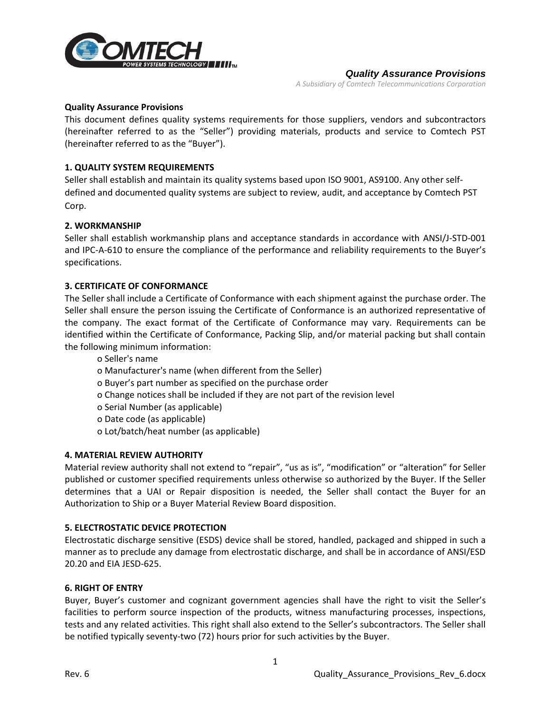

#### *Quality Assurance Provisions*

*A Subsidiary of Comtech Telecommunications Corporation*

#### **Quality Assurance Provisions**

This document defines quality systems requirements for those suppliers, vendors and subcontractors (hereinafter referred to as the "Seller") providing materials, products and service to Comtech PST (hereinafter referred to as the "Buyer").

# **1. QUALITY SYSTEM REQUIREMENTS**

Seller shall establish and maintain its quality systems based upon ISO 9001, AS9100. Any other selfdefined and documented quality systems are subject to review, audit, and acceptance by Comtech PST Corp.

### **2. WORKMANSHIP**

Seller shall establish workmanship plans and acceptance standards in accordance with ANSI/J-STD-001 and IPC-A-610 to ensure the compliance of the performance and reliability requirements to the Buyer's specifications.

## **3. CERTIFICATE OF CONFORMANCE**

The Seller shall include a Certificate of Conformance with each shipment against the purchase order. The Seller shall ensure the person issuing the Certificate of Conformance is an authorized representative of the company. The exact format of the Certificate of Conformance may vary. Requirements can be identified within the Certificate of Conformance, Packing Slip, and/or material packing but shall contain the following minimum information:

o Seller's name

o Manufacturer's name (when different from the Seller)

o Buyer's part number as specified on the purchase order

- o Change notices shall be included if they are not part of the revision level
- o Serial Number (as applicable)
- o Date code (as applicable)
- o Lot/batch/heat number (as applicable)

## **4. MATERIAL REVIEW AUTHORITY**

Material review authority shall not extend to "repair", "us as is", "modification" or "alteration" for Seller published or customer specified requirements unless otherwise so authorized by the Buyer. If the Seller determines that a UAI or Repair disposition is needed, the Seller shall contact the Buyer for an Authorization to Ship or a Buyer Material Review Board disposition.

## **5. ELECTROSTATIC DEVICE PROTECTION**

Electrostatic discharge sensitive (ESDS) device shall be stored, handled, packaged and shipped in such a manner as to preclude any damage from electrostatic discharge, and shall be in accordance of ANSI/ESD 20.20 and EIA JESD-625.

#### **6. RIGHT OF ENTRY**

Buyer, Buyer's customer and cognizant government agencies shall have the right to visit the Seller's facilities to perform source inspection of the products, witness manufacturing processes, inspections, tests and any related activities. This right shall also extend to the Seller's subcontractors. The Seller shall be notified typically seventy-two (72) hours prior for such activities by the Buyer.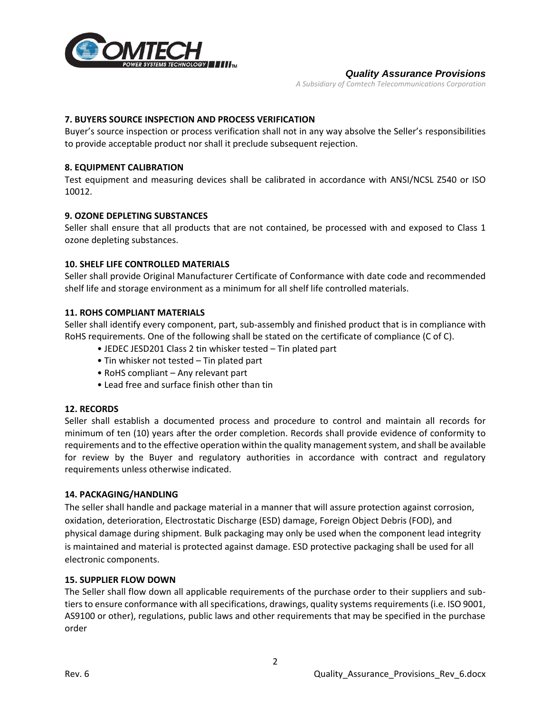

#### *Quality Assurance Provisions*

*A Subsidiary of Comtech Telecommunications Corporation*

# **7. BUYERS SOURCE INSPECTION AND PROCESS VERIFICATION**

Buyer's source inspection or process verification shall not in any way absolve the Seller's responsibilities to provide acceptable product nor shall it preclude subsequent rejection.

## **8. EQUIPMENT CALIBRATION**

Test equipment and measuring devices shall be calibrated in accordance with ANSI/NCSL Z540 or ISO 10012.

### **9. OZONE DEPLETING SUBSTANCES**

Seller shall ensure that all products that are not contained, be processed with and exposed to Class 1 ozone depleting substances.

### **10. SHELF LIFE CONTROLLED MATERIALS**

Seller shall provide Original Manufacturer Certificate of Conformance with date code and recommended shelf life and storage environment as a minimum for all shelf life controlled materials.

## **11. ROHS COMPLIANT MATERIALS**

Seller shall identify every component, part, sub-assembly and finished product that is in compliance with RoHS requirements. One of the following shall be stated on the certificate of compliance (C of C).

- JEDEC JESD201 Class 2 tin whisker tested Tin plated part
- Tin whisker not tested Tin plated part
- RoHS compliant Any relevant part
- Lead free and surface finish other than tin

#### **12. RECORDS**

Seller shall establish a documented process and procedure to control and maintain all records for minimum of ten (10) years after the order completion. Records shall provide evidence of conformity to requirements and to the effective operation within the quality management system, and shall be available for review by the Buyer and regulatory authorities in accordance with contract and regulatory requirements unless otherwise indicated.

#### **14. PACKAGING/HANDLING**

The seller shall handle and package material in a manner that will assure protection against corrosion, oxidation, deterioration, Electrostatic Discharge (ESD) damage, Foreign Object Debris (FOD), and physical damage during shipment. Bulk packaging may only be used when the component lead integrity is maintained and material is protected against damage. ESD protective packaging shall be used for all electronic components.

#### **15. SUPPLIER FLOW DOWN**

The Seller shall flow down all applicable requirements of the purchase order to their suppliers and subtiers to ensure conformance with all specifications, drawings, quality systems requirements (i.e. ISO 9001, AS9100 or other), regulations, public laws and other requirements that may be specified in the purchase order